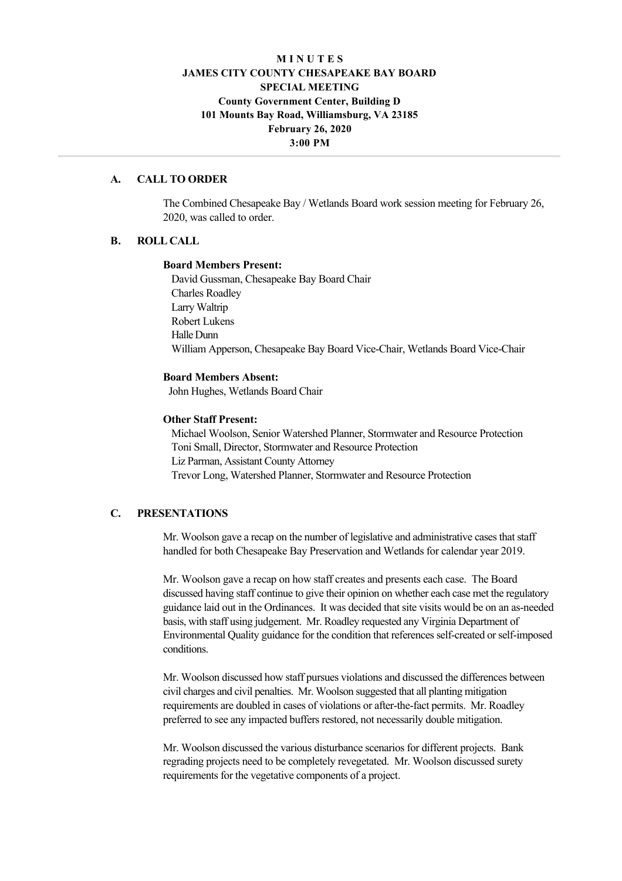# **M I N U T E S JAMES CITY COUNTY CHESAPEAKE BAY BOARD SPECIAL MEETING County Government Center, Building D 101 Mounts Bay Road, Williamsburg, VA 23185 February 26, 2020 3:00 PM**

### **A. CALL TO ORDER**

The Combined Chesapeake Bay / Wetlands Board work session meeting for February 26, 2020, was called to order.

### **B. ROLL CALL**

#### **Board Members Present:**

David Gussman, Chesapeake Bay Board Chair Charles Roadley Larry Waltrip Robert Lukens Halle Dunn William Apperson, Chesapeake Bay Board Vice-Chair, Wetlands Board Vice-Chair

#### **Board Members Absent:**

John Hughes, Wetlands Board Chair

### **Other Staff Present:**

Michael Woolson, Senior Watershed Planner, Stormwater and Resource Protection Toni Small, Director, Stormwater and Resource Protection Liz Parman, Assistant County Attorney Trevor Long, Watershed Planner, Stormwater and Resource Protection

# **C. PRESENTATIONS**

Mr. Woolson gave a recap on the number of legislative and administrative cases that staff handled for both Chesapeake Bay Preservation and Wetlands for calendar year 2019.

Mr. Woolson gave a recap on how staff creates and presents each case. The Board discussed having staff continue to give their opinion on whether each case met the regulatory guidance laid out in the Ordinances. It was decided that site visits would be on an asneeded basis, with staff using judgement. Mr. Roadley requested any Virginia Department of Environmental Quality guidance for the condition that references self-created or self-imposed conditions.

Mr. Woolson discussed how staff pursues violations and discussed the differences between civil charges and civil penalties. Mr. Woolson suggested that all planting mitigation requirements are doubled in cases of violations or after-the-fact permits. Mr. Roadley preferred to see any impacted buffers restored, not necessarily double mitigation.

Mr. Woolson discussed the various disturbance scenarios for different projects. Bank regrading projects need to be completely revegetated. Mr. Woolson discussed surety requirements for the vegetative components of a project.